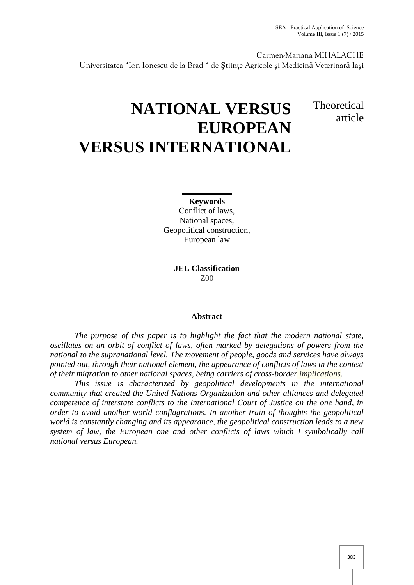Carmen-Mariana MIHALACHE

Universitatea "Ion Ionescu de la Brad " de tiin e Agricole i Medicin Veterinar Ia i

# **NATIONAL VERSUS EUROPEAN VERSUS INTERNATIONAL**

# **Theoretical** article

## **Keywords**

Conflict of laws, National spaces, Geopolitical construction, European law

> **JEL Classification** Z00

## **Abstract**

*The purpose of this paper is to highlight the fact that the modern national state, oscillates on an orbit of conflict of laws, often marked by delegations of powers from the national to the supranational level. The movement of people, goods and services have always pointed out, through their national element, the appearance of conflicts of laws in the context of their migration to other national spaces, being carriers of cross-border implications.*

*This issue is characterized by geopolitical developments in the international community that created the United Nations Organization and other alliances and delegated competence of interstate conflicts to the International Court of Justice on the one hand, in order to avoid another world conflagrations. In another train of thoughts the geopolitical world is constantly changing and its appearance, the geopolitical construction leads to a new system of law, the European one and other conflicts of laws which I symbolically call national versus European.*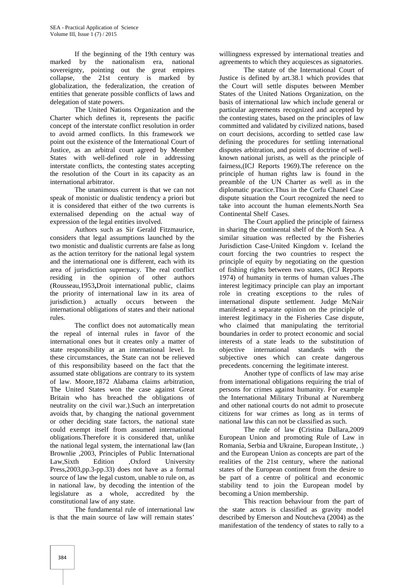If the beginning of the 19th century was marked by the nationalism era, national sovereignty, pointing out the great empires collapse, the 21st century is marked by globalization, the federalization, the creation of entities that generate possible conflicts of laws and delegation of state powers.

The United Nations Organization and the Charter which defines it, represents the pacific concept of the interstate conflict resolution in order to avoid armed conflicts. In this framework we point out the existence of the International Court of Justice, as an arbitral court agreed by Member States with well-defined role in addressing interstate conflicts, the contesting states accepting the resolution of the Court in its capacity as an international arbitrator.

The unanimous current is that we can not speak of monistic or dualistic tendency a priori but it is considered that either of the two currents is externalised depending on the actual way of expression of the legal entities involved.

Authors such as Sir Gerald Fitzmaurice, considers that legal assumptions launched by the two monistic and dualistic currents are false as long as the action territory for the national legal system and the international one is different, each with its area of jurisdiction supremacy. The real conflict residing in the opinion of other authors (Rousseau,1953**,**Droit international public, claims the priority of international law in its area of jurisdiction.) actually occurs between the international obligations of states and their national rules.

The conflict does not automatically mean the repeal of internal rules in favor of the international ones but it creates only a matter of state responsibility at an international level. In these circumstances, the State can not be relieved of this responsibility baseed on the fact that the assumed state obligations are contrary to its system of law. Moore,1872 Alabama claims arbitration, The United States won the case against Great Britain who has breached the obligations of neutrality on the civil war.).Such an interpretation avoids that, by changing the national government or other deciding state factors, the national state could exempt itself from assumed international obligations.Therefore it is considered that, unlike the national legal system, the international law (Ian Brownlie ,2003, Principles of Public International Law,Sixth Edition ,Oxford University Press,2003,pp.3-pp.33) does not have as a formal source of law the legal custom, unable to rule on, as in national law, by decoding the intention of the legislature as a whole, accredited by the constitutional law of any state.

The fundamental rule of international law is that the main source of law will remain states'

willingness expressed by international treaties and agreements to which they acquiesces as signatories.

The statute of the International Court of Justice is defined by art.38.1 which provides that the Court will settle disputes between Member States of the United Nations Organization, on the basis of international law which include general or particular agreements recognized and accepted by the contesting states, based on the principles of law committed and validated by civilized nations, based on court decisions, according to settled case law defining the procedures for settling international disputes arbitration, and points of doctrine of well known national jurists, as well as the principle of fairness,(ICJ Reports 1969).The reference on the principle of human rights law is found in the preamble of the UN Charter as well as in the diplomatic practice.Thus in the Corfu Chanel Case dispute situation the Court recognized the need to take into account the human elements.North Sea Continental Shelf Cases.

The Court applied the principle of fairness in sharing the continental shelf of the North Sea. A similar situation was reflected by the Fisheries Jurisdiction Case-United Kingdom v. Iceland the court forcing the two countries to respect the principle of equity by negotiating on the question of fishing rights between two states, (ICJ Reports 1974) of humanity in terms of human values **.**The interest legitimacy principle can play an important role in creating exceptions to the rules of international dispute settlement. Judge McNair manifested a separate opinion on the principle of interest legitimacy in the Fisheries Case dispute, who claimed that manipulating the territorial boundaries in order to protect economic and social interests of a state leads to the substitution of objective international standards with the objective international standards with subjective ones which can create dangerous precedents. concerning the legitimate interest.

Another type of conflicts of law may arise from international obligations requiring the trial of persons for crimes against humanity. For example the International Military Tribunal at Nuremberg and other national courts do not admit to prosecute citizens for war crimes as long as in terms of national law this can not be classified as such.

The rule of law **(**Cristina Dallara,2009 European Union and promoting Rule of Law in Romania, Serbia and Ukraine, European Institute, .) and the European Union as concepts are part of the realities of the 21st century, where the national states of the European continent from the desire to be part of a centre of political and economic stability tend to join the European model by becoming a Union membership.

This reaction behaviour from the part of the state actors is classified as gravity model described by Emerson and Noutcheva (2004) as the manifestation of the tendency of states to rally to a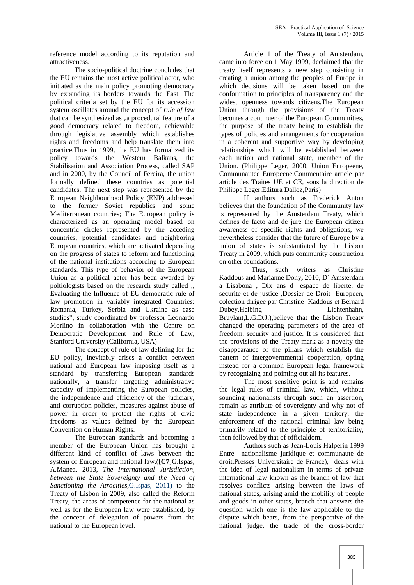reference model according to its reputation and attractiveness.

The socio-political doctrine concludes that the EU remains the most active political actor, who initiated as the main policy promoting democracy by expanding its borders towards the East. The political criteria set by the EU for its accession system oscillates around the concept of *rule of law* that can be synthesized as "a procedural feature of a good democracy related to freedom, achievable through legislative assembly which establishes rights and freedoms and help translate them into practice.Thus in 1999, the EU has formalized its policy towards the Western Balkans, the Stabilisation and Association Process, called SAP and in 2000, by the Council of Fereira, the union formally defined these countries as potential candidates. The next step was represented by the European Neighbourhood Policy (ENP) addressed to the former Soviet republics and some Mediterranean countries; The European policy is characterized as an operating model based on concentric circles represented by the acceding countries, potential candidates and neighboring European countries, which are activated depending on the progress of states to reform and functioning of the national institutions according to European standards. This type of behavior of the European Union as a political actor has been awarded by poltiologists based on the research study called ,, Evaluating the Influence of EU democratic rule of law promotion in variably integrated Countries: Romania, Turkey, Serbia and Ukraine as case studies", study coordinated by professor Leonardo Morlino in collaboration with the Centre on Democratic Development and Rule of Law, Stanford University (California, USA)

The concept of rule of law defining for the EU policy, inevitably arises a conflict between national and European law imposing itself as a standard by transferring European standards nationally, a transfer targeting administrative capacity of implementing the European policies, the independence and efficiency of the judiciary, anti-corruption policies, measures against abuse of power in order to protect the rights of civic freedoms as values defined by the European Convention on Human Rights.

The European standards and becoming a member of the European Union has brought a different kind of conflict of laws between the system of European and national law.([**C7**]G.Ispas, A.Manea, 2013, *The International Jurisdiction, between the State Sovereignty and the Need of Sanctioning the Atrocities,*G.Ispas, 2011) to the Treaty of Lisbon in 2009, also called the Reform Treaty, the areas of competence for the national as well as for the European law were established, by the concept of delegation of powers from the national to the European level.

Article 1 of the Treaty of Amsterdam, came into force on 1 May 1999, declaimed that the treaty itself represents a new step consisting in creating a union among the peoples of Europe in which decisions will be taken based on the conformation to principles of transparency and the widest openness towards citizens.The European Union through the provisions of the Treaty becomes a continuer of the European Communities, the purpose of the treaty being to establish the types of policies and arrangements for cooperation in a coherent and supportive way by developing relationships which will be established between each nation and national state, member of the Union. (Philippe Leger, 2000, Union Europeene, Communautee Europeene,Commentaire article par article des Traites UE et CE, sous la direction de Philippe Leger,Editura Dalloz,Paris)

If authors such as Frederick Anton believes that the foundation of the Community law is represented by the Amsterdam Treaty, which defines de facto and de jure the European citizen awareness of specific rights and obligations, we nevertheless consider that the future of Europe by a union of states is substantiated by the Lisbon Treaty in 2009, which puts community construction on other foundations.

Thus, such writers as Christine Kaddous and Marianne Dony**,** 2010, D΄ Amsterdam a Lisabona, Dix ans d espace de liberte, de securite et de justice ,Dossier de Droit Europeen, colection dirigee par Christine Kaddous et Bernard Dubey,Helbing Lichtenhahn, Bruylant,L.G.D.J.),believe that the Lisbon Treaty changed the operating parameters of the area of freedom, security and justice. It is considered that the provisions of the Treaty mark as a novelty the disappearance of the pillars which establish the pattern of intergovernmental cooperation, opting instead for a common European legal framework by recognizing and pointing out all its features.

The most sensitive point is and remains the legal rules of criminal law, which, without sounding nationalists through such an assertion, remain as attribute of sovereignty and why not of state independence in a given territory, the enforcement of the national criminal law being primarily related to the principle of territoriality, then followed by that of officialdom.

Authors such as Jean-Louis Halperin 1999 Entre nationalisme juridique et communaute de droit,Presses Universitaire de France), deals with the idea of legal nationalism in terms of private international law known as the branch of law that resolves conflicts arising between the laws of national states, arising amid the mobility of people and goods in other states, branch that answers the question which one is the law applicable to the dispute which bears, from the perspective of the national judge, the trade of the cross-border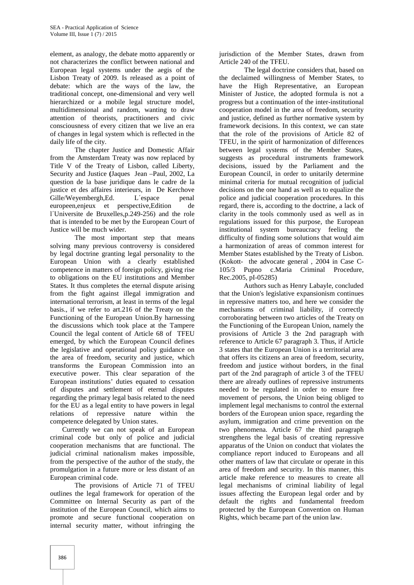element, as analogy, the debate motto apparently or not characterizes the conflict between national and European legal systems under the aegis of the Lisbon Treaty of 2009. Is released as a point of debate: which are the ways of the law, the traditional concept, one-dimensional and very well hierarchized or a mobile legal structure model, multidimensional and random, wanting to draw attention of theorists, practitioners and civic consciousness of every citizen that we live an era of changes in legal system which is reflected in the daily life of the city.

The chapter Justice and Domestic Affair from the Amsterdam Treaty was now replaced by Title V of the Treaty of Lisbon, called Liberty, Security and Justice **(**Jaques Jean –Paul, 2002, La question de la base juridique dans le cadre de la justice et des affaires interieurs, in De Kerchove Gille/Weyembergh, Ed. L espace penal europeen,enjeux et perspective,Edition de l΄Universite de Bruxelles,p.249-256) and the role that is intended to be met by the European Court of Justice will be much wider.

The most important step that means solving many previous controversy is considered by legal doctrine granting legal personality to the European Union with a clearly established competence in matters of foreign policy, giving rise to obligations on the EU institutions and Member States. It thus completes the eternal dispute arising from the fight against illegal immigration and international terrorism, at least in terms of the legal basis., if we refer to art.216 of the Treaty on the Functioning of the European Union.By harnessing the discussions which took place at the Tampere Council the legal content of Article 68 of TFEU emerged, by which the European Council defines the legislative and operational policy guidance on the area of freedom, security and justice, which transforms the European Commission into an executive power. This clear separation of the European institutions' duties equated to cessation of disputes and settlement of eternal disputes regarding the primary legal basis related to the need for the EU as a legal entity to have powers in legal relations of repressive nature within the competence delegated by Union states.

Currently we can not speak of an European criminal code but only of police and judicial cooperation mechanisms that are functional. The judicial criminal nationalism makes impossible, from the perspective of the author of the study, the promulgation in a future more or less distant of an European criminal code.

The provisions of Article 71 of TFEU outlines the legal framework for operation of the Committee on Internal Security as part of the institution of the European Council, which aims to promote and secure functional cooperation on internal security matter, without infringing the jurisdiction of the Member States, drawn from Article 240 of the TFEU.

The legal doctrine considers that, based on the declaimed willingness of Member States, to have the High Representative, an European Minister of Justice, the adopted formula is not a progress but a continuation of the inter-institutional cooperation model in the area of freedom, security and justice, defined as further normative system by framework decisions. In this context, we can state that the role of the provisions of Article 82 of TFEU, in the spirit of harmonization of differences between legal systems of the Member States, suggests as procedural instruments framework decisions, issued by the Parliament and the European Council, in order to unitarily determine minimal criteria for mutual recognition of judicial decisions on the one hand as well as to equalize the police and judicial cooperation procedures. In this regard, there is, according to the doctrine, a lack of clarity in the tools commonly used as well as in regulations issued for this purpose, the European institutional system bureaucracy feeling the difficulty of finding some solutions that would aim a harmonization of areas of common interest for Member States established by the Treaty of Lisbon. (Kokott- the advocate general , 2004 in Case C- 105/3 Pupno c.Maria Criminal Procedure, Rec.2005, pI-05285)

Authors such as Henry Labayle, concluded that the Union's legislative expansionism continues in repressive matters too, and here we consider the mechanisms of criminal liability, if correctly corroborating between two articles of the Treaty on the Functioning of the European Union, namely the provisions of Article 3 the 2nd paragraph with reference to Article 67 paragraph 3. Thus, if Article 3 states that the European Union is a territorial area that offers its citizens an area of freedom, security, freedom and justice without borders, in the final part of the 2nd paragraph of article 3 of the TFEU there are already outlines of repressive instruments needed to be regulated in order to ensure free movement of persons, the Union being obliged to implement legal mechanisms to control the external borders of the European union space, regarding the asylum, immigration and crime prevention on the two phenomena. Article 67 the third paragraph strengthens the legal basis of creating repressive apparatus of the Union on conduct that violates the compliance report induced to Europeans and all other matters of law that circulate or operate in this area of freedom and security. In this manner, this article make reference to measures to create all legal mechanisms of criminal liability of legal issues affecting the European legal order and by default the rights and fundamental freedom protected by the European Convention on Human Rights, which became part of the union law.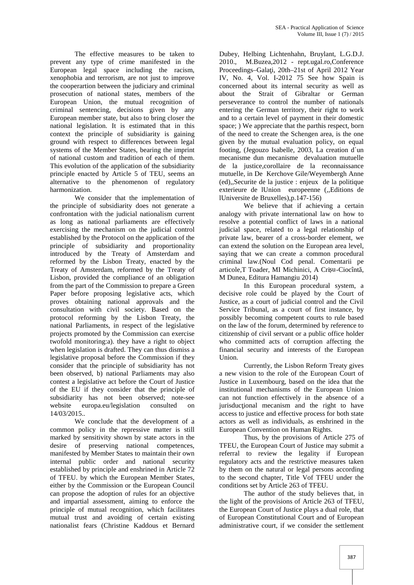The effective measures to be taken to prevent any type of crime manifested in the European legal space including the racism, xenophobia and terrorism, are not just to improve the cooperartion between the judiciary and criminal prosecution of national states, members of the European Union, the mutual recognition of criminal sentencing, decisions given by any European member state, but also to bring closer the national legislation. It is estimated that in this context the principle of subsidiarity is gaining ground with respect to differences between legal systems of the Member States, bearing the imprint of national custom and tradition of each of them. This evolution of the application of the subsidiarity principle enacted by Article 5 of TEU, seems an alternative to the phenomenon of regulatory harmonization.

We consider that the implementation of the principle of subsidiarity does not generate a confrontation with the judicial nationalism current as long as national parliaments are effectively exercising the mechanism on the judicial control established by the Protocol on the application of the principle of subsidiarity and proportionality introduced by the Treaty of Amsterdam and reformed by the Lisbon Treaty, enacted by the Treaty of Amsterdam, reformed by the Treaty of Lisbon, provided the compliance of an obligation from the part of the Commission to prepare a Green Paper before proposing legislative acts, which proves obtaining national approvals and the consultation with civil society. Based on the protocol reforming by the Lisbon Treaty, the national Parliaments, in respect of the legislative projects promoted by the Commission can exercise twofold monitoring:a). they have a right to object when legislation is drafted. They can thus dismiss a legislative proposal before the Commission if they consider that the principle of subsidiarity has not been observed, b) national Parliaments may also contest a legislative act before the Court of Justice of the EU if they consider that the principle of subsidiarity has not been observed; note-see website europa.eu/legislation consulted on 14/03/2015..

We conclude that the development of a common policy in the repressive matter is still marked by sensitivity shown by state actors in the desire of preserving national competences, manifested by Member States to maintain their own internal public order and national security established by principle and enshrined in Article 72 of TFEU. by which the European Member States, either by the Commission or the European Council can propose the adoption of rules for an objective and impartial assessment, aiming to enforce the principle of mutual recognition, which facilitates mutual trust and avoiding of certain existing nationalist fears (Christine Kaddous et Bernard

Dubey, Helbing Lichtenhahn, Bruylant, L.G.D.J. 2010., M.Buzea,2012 - rept.ugal.ro,Conference Proceedings–Gala i, 20th–21st of April 2012 Year IV, No. 4, Vol. I-2012 75 See how Spain is concerned about its internal security as well as about the Strait of Gibraltar or German perseverance to control the number of nationals entering the German territory, their right to work and to a certain level of payment in their domestic space; ) We appreciate that the parthis respect, born of the need to create the Schengen area, is the one given by the mutual evaluation policy, on equal footing, (Jegouzo Isabelle, 2003, La creation d un mecanisme dun mecanisme devaluation mutuelle de la justice,corollaire de la reconnaissance mutuelle, in De Kerchove Gile/Weyembergh Anne (ed),,Securite de la justice : enjeux de la politique exterieure de lUnion europeenne (,,Editions de lUniversite de Bruxelles),p.147-156)

We believe that if achieving a certain analogy with private international law on how to resolve a potential conflict of laws in a national judicial space, related to a legal relationship of private law, bearer of a cross-border element, we can extend the solution on the European area level, saying that we can create a common procedural criminal law.(Noul Cod penal. Comentarii pe articole,T Toader, MI Michinici, A Cri u-Ciocînt, M Dunea, Editura Hamangiu 2014)

In this European procedural system, a decisive role could be played by the Court of Justice, as a court of judicial control and the Civil Service Tribunal, as a court of first instance, by possibly becoming competent courts to rule based on the law of the forum, determined by reference to citizenship of civil servant or a public office holder who committed acts of corruption affecting the financial security and interests of the European Union.

Currently, the Lisbon Reform Treaty gives a new vision to the role of the European Court of Justice in Luxembourg, based on the idea that the institutional mechanisms of the European Union can not function effectively in the absence of a jurisduc ional mecanism and the right to have access to justice and effective process for both state actors as well as individuals, as enshrined in the European Convention on Human Rights.

Thus, by the provisions of Article 275 of TFEU, the European Court of Justice may submit a referral to review the legality if European regulatory acts and the restrictive measures taken by them on the natural or legal persons according to the second chapter, Title Vof TFEU under the conditions set by Article 263 of TFEU.

The author of the study believes that, in the light of the provisions of Article 263 of TFEU, the European Court of Justice plays a dual role, that of European Constitutional Court and of European administrative court, if we consider the settlement